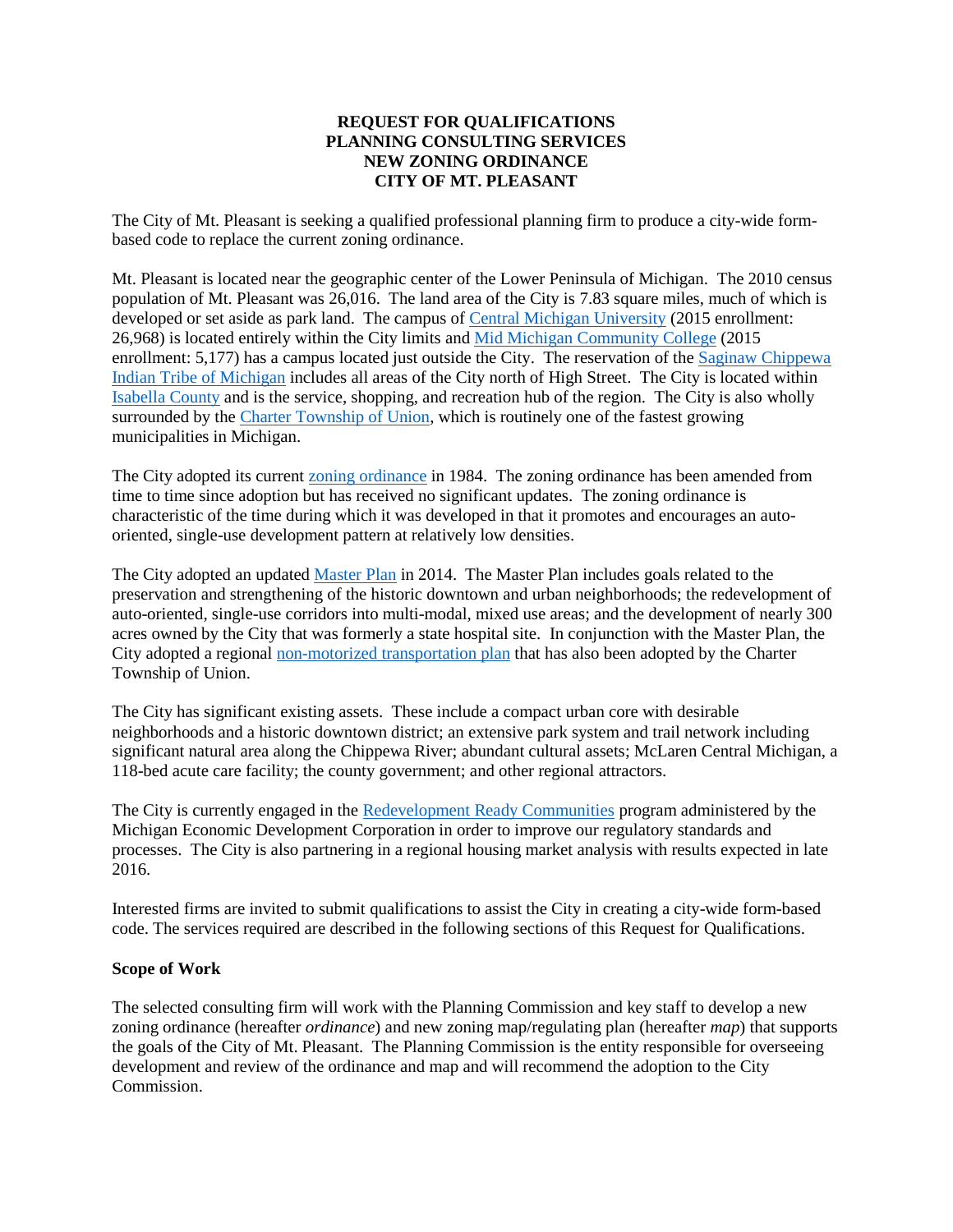## **REQUEST FOR QUALIFICATIONS PLANNING CONSULTING SERVICES NEW ZONING ORDINANCE CITY OF MT. PLEASANT**

The City of Mt. Pleasant is seeking a qualified professional planning firm to produce a city-wide formbased code to replace the current zoning ordinance.

Mt. Pleasant is located near the geographic center of the Lower Peninsula of Michigan. The 2010 census population of Mt. Pleasant was 26,016. The land area of the City is 7.83 square miles, much of which is developed or set aside as park land. The campus of [Central Michigan University](http://www.cmich.edu/) (2015 enrollment: 26,968) is located entirely within the City limits and [Mid Michigan Community College](http://www.midmich.edu/) (2015 enrollment: 5,177) has a campus located just outside the City. The reservation of th[e Saginaw Chippewa](http://www.sagchip.org/)  [Indian Tribe](http://www.sagchip.org/) of Michigan includes all areas of the City north of High Street. The City is located within [Isabella County](http://www.isabellacounty.org/) and is the service, shopping, and recreation hub of the region. The City is also wholly surrounded by the [Charter Township of Union,](http://www.uniontownshipmi.com/) which is routinely one of the fastest growing municipalities in Michigan.

The City adopted its current [zoning ordinance](http://www.amlegal.com/codes/client/mount-pleasant_mi) in 1984. The zoning ordinance has been amended from time to time since adoption but has received no significant updates. The zoning ordinance is characteristic of the time during which it was developed in that it promotes and encourages an autooriented, single-use development pattern at relatively low densities.

The City adopted an updated [Master Plan](http://www.mt-pleasant.org/our_city/city_master_plan/) in 2014. The Master Plan includes goals related to the preservation and strengthening of the historic downtown and urban neighborhoods; the redevelopment of auto-oriented, single-use corridors into multi-modal, mixed use areas; and the development of nearly 300 acres owned by the City that was formerly a state hospital site. In conjunction with the Master Plan, the City adopted a regiona[l non-motorized transportation plan](http://www.mt-pleasant.org/docs/dept/planning/MasterPlan/mp_appendix_f_2014.pdf) that has also been adopted by the Charter Township of Union.

The City has significant existing assets. These include a compact urban core with desirable neighborhoods and a historic downtown district; an extensive park system and trail network including significant natural area along the Chippewa River; abundant cultural assets; McLaren Central Michigan, a 118-bed acute care facility; the county government; and other regional attractors.

The City is currently engaged in the [Redevelopment Ready Communities](http://www.michiganbusiness.org/community/development-assistance/#rrc) program administered by the Michigan Economic Development Corporation in order to improve our regulatory standards and processes. The City is also partnering in a regional housing market analysis with results expected in late 2016.

Interested firms are invited to submit qualifications to assist the City in creating a city-wide form-based code. The services required are described in the following sections of this Request for Qualifications.

## **Scope of Work**

The selected consulting firm will work with the Planning Commission and key staff to develop a new zoning ordinance (hereafter *ordinance*) and new zoning map/regulating plan (hereafter *map*) that supports the goals of the City of Mt. Pleasant. The Planning Commission is the entity responsible for overseeing development and review of the ordinance and map and will recommend the adoption to the City Commission.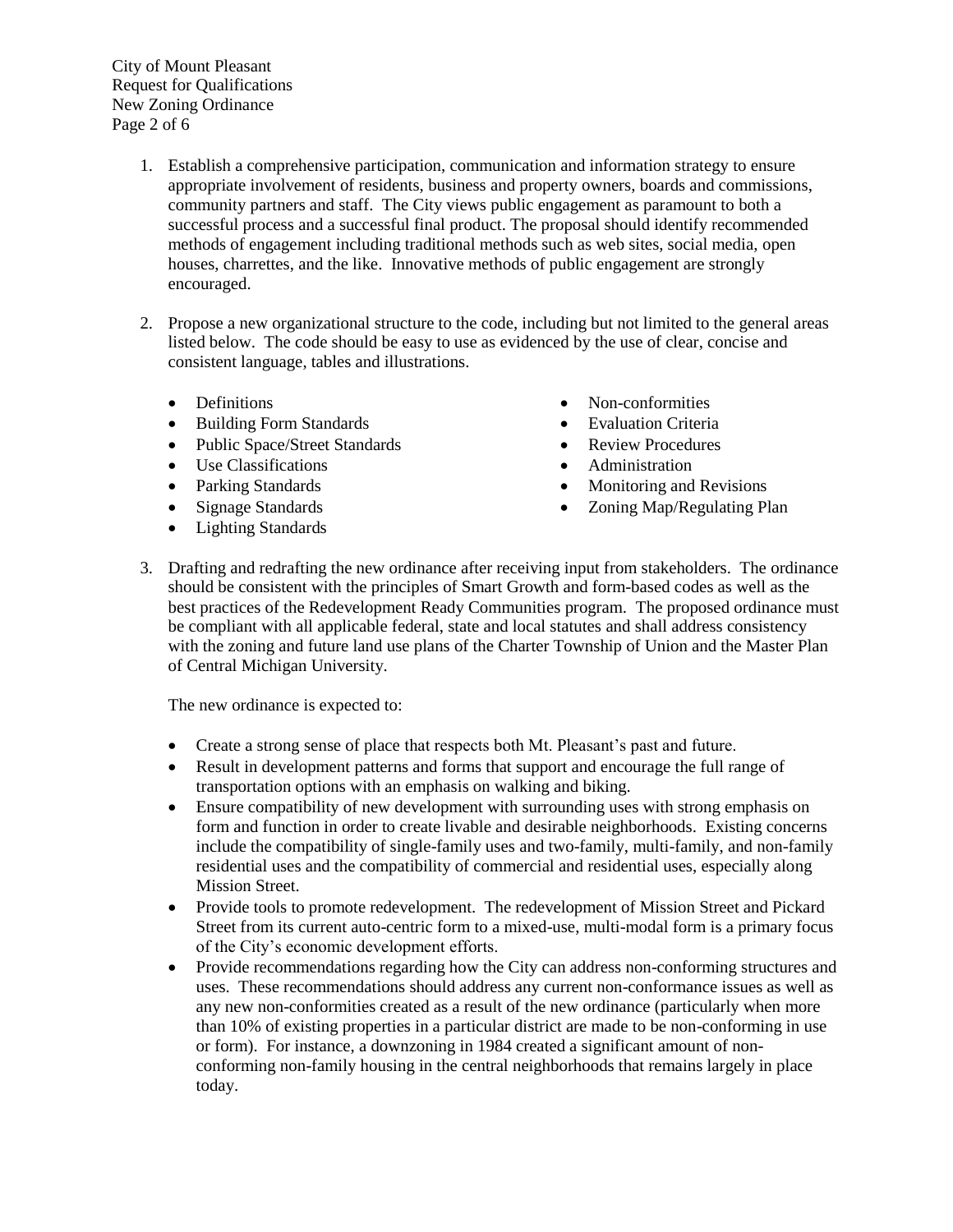City of Mount Pleasant Request for Qualifications New Zoning Ordinance Page 2 of 6

- 1. Establish a comprehensive participation, communication and information strategy to ensure appropriate involvement of residents, business and property owners, boards and commissions, community partners and staff. The City views public engagement as paramount to both a successful process and a successful final product. The proposal should identify recommended methods of engagement including traditional methods such as web sites, social media, open houses, charrettes, and the like. Innovative methods of public engagement are strongly encouraged.
- 2. Propose a new organizational structure to the code, including but not limited to the general areas listed below. The code should be easy to use as evidenced by the use of clear, concise and consistent language, tables and illustrations.
	- Definitions
	- Building Form Standards
	- Public Space/Street Standards
	- Use Classifications
	- Parking Standards
	- Signage Standards
	- Lighting Standards
- Non-conformities
- Evaluation Criteria
- Review Procedures
- Administration
- Monitoring and Revisions
- Zoning Map/Regulating Plan
- 3. Drafting and redrafting the new ordinance after receiving input from stakeholders. The ordinance should be consistent with the principles of Smart Growth and form-based codes as well as the best practices of the Redevelopment Ready Communities program. The proposed ordinance must be compliant with all applicable federal, state and local statutes and shall address consistency with the zoning and future land use plans of the Charter Township of Union and the Master Plan of Central Michigan University.

The new ordinance is expected to:

- Create a strong sense of place that respects both Mt. Pleasant's past and future.
- Result in development patterns and forms that support and encourage the full range of transportation options with an emphasis on walking and biking.
- Ensure compatibility of new development with surrounding uses with strong emphasis on form and function in order to create livable and desirable neighborhoods. Existing concerns include the compatibility of single-family uses and two-family, multi-family, and non-family residential uses and the compatibility of commercial and residential uses, especially along Mission Street.
- Provide tools to promote redevelopment. The redevelopment of Mission Street and Pickard Street from its current auto-centric form to a mixed-use, multi-modal form is a primary focus of the City's economic development efforts.
- Provide recommendations regarding how the City can address non-conforming structures and uses. These recommendations should address any current non-conformance issues as well as any new non-conformities created as a result of the new ordinance (particularly when more than 10% of existing properties in a particular district are made to be non-conforming in use or form). For instance, a downzoning in 1984 created a significant amount of nonconforming non-family housing in the central neighborhoods that remains largely in place today.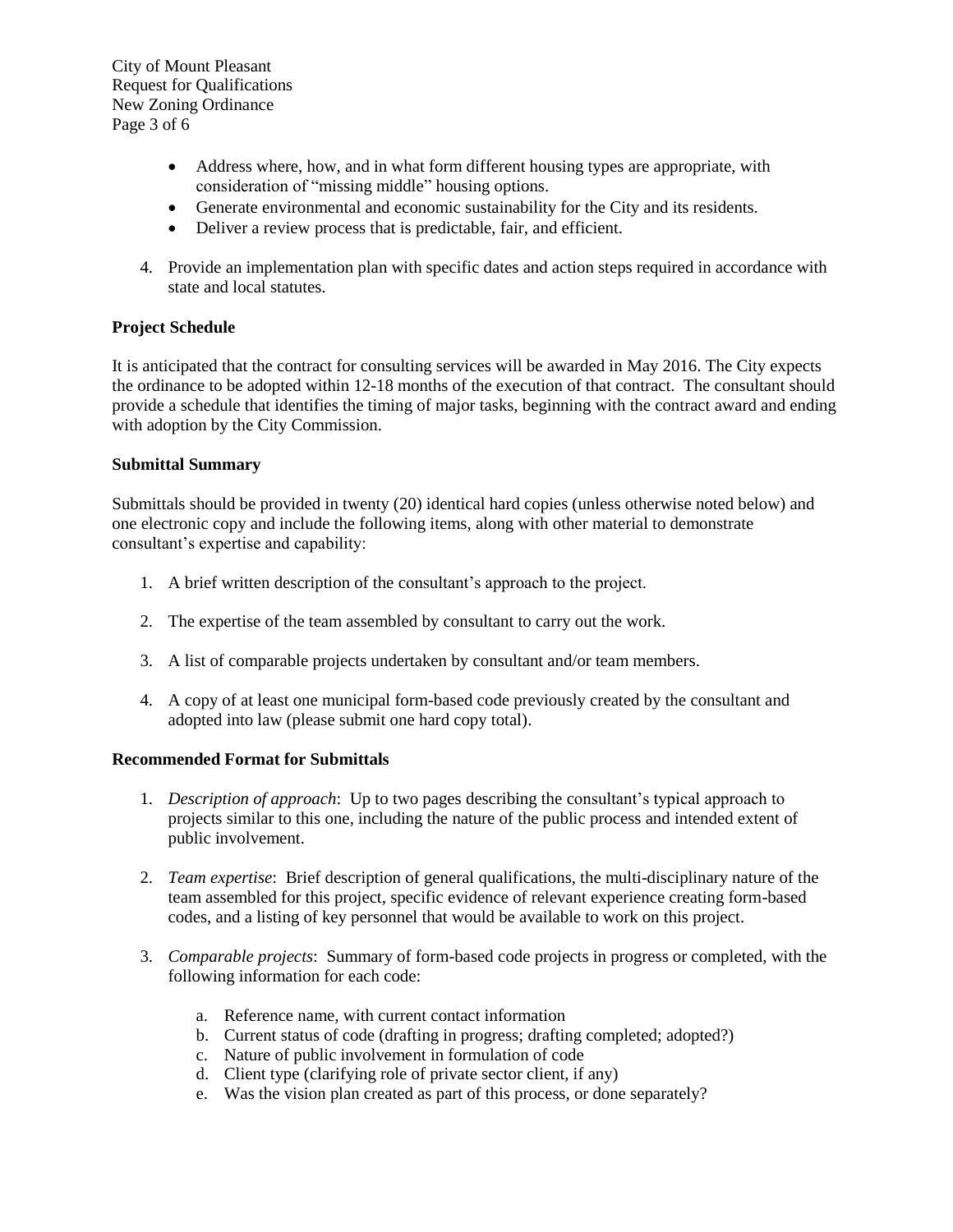City of Mount Pleasant Request for Qualifications New Zoning Ordinance Page 3 of 6

- Address where, how, and in what form different housing types are appropriate, with consideration of "missing middle" housing options.
- Generate environmental and economic sustainability for the City and its residents.
- Deliver a review process that is predictable, fair, and efficient.
- 4. Provide an implementation plan with specific dates and action steps required in accordance with state and local statutes.

# **Project Schedule**

It is anticipated that the contract for consulting services will be awarded in May 2016. The City expects the ordinance to be adopted within 12-18 months of the execution of that contract. The consultant should provide a schedule that identifies the timing of major tasks, beginning with the contract award and ending with adoption by the City Commission.

## **Submittal Summary**

Submittals should be provided in twenty (20) identical hard copies (unless otherwise noted below) and one electronic copy and include the following items, along with other material to demonstrate consultant's expertise and capability:

- 1. A brief written description of the consultant's approach to the project.
- 2. The expertise of the team assembled by consultant to carry out the work.
- 3. A list of comparable projects undertaken by consultant and/or team members.
- 4. A copy of at least one municipal form-based code previously created by the consultant and adopted into law (please submit one hard copy total).

## **Recommended Format for Submittals**

- 1. *Description of approach*: Up to two pages describing the consultant's typical approach to projects similar to this one, including the nature of the public process and intended extent of public involvement.
- 2. *Team expertise*: Brief description of general qualifications, the multi-disciplinary nature of the team assembled for this project, specific evidence of relevant experience creating form-based codes, and a listing of key personnel that would be available to work on this project.
- 3. *Comparable projects*: Summary of form-based code projects in progress or completed, with the following information for each code:
	- a. Reference name, with current contact information
	- b. Current status of code (drafting in progress; drafting completed; adopted?)
	- c. Nature of public involvement in formulation of code
	- d. Client type (clarifying role of private sector client, if any)
	- e. Was the vision plan created as part of this process, or done separately?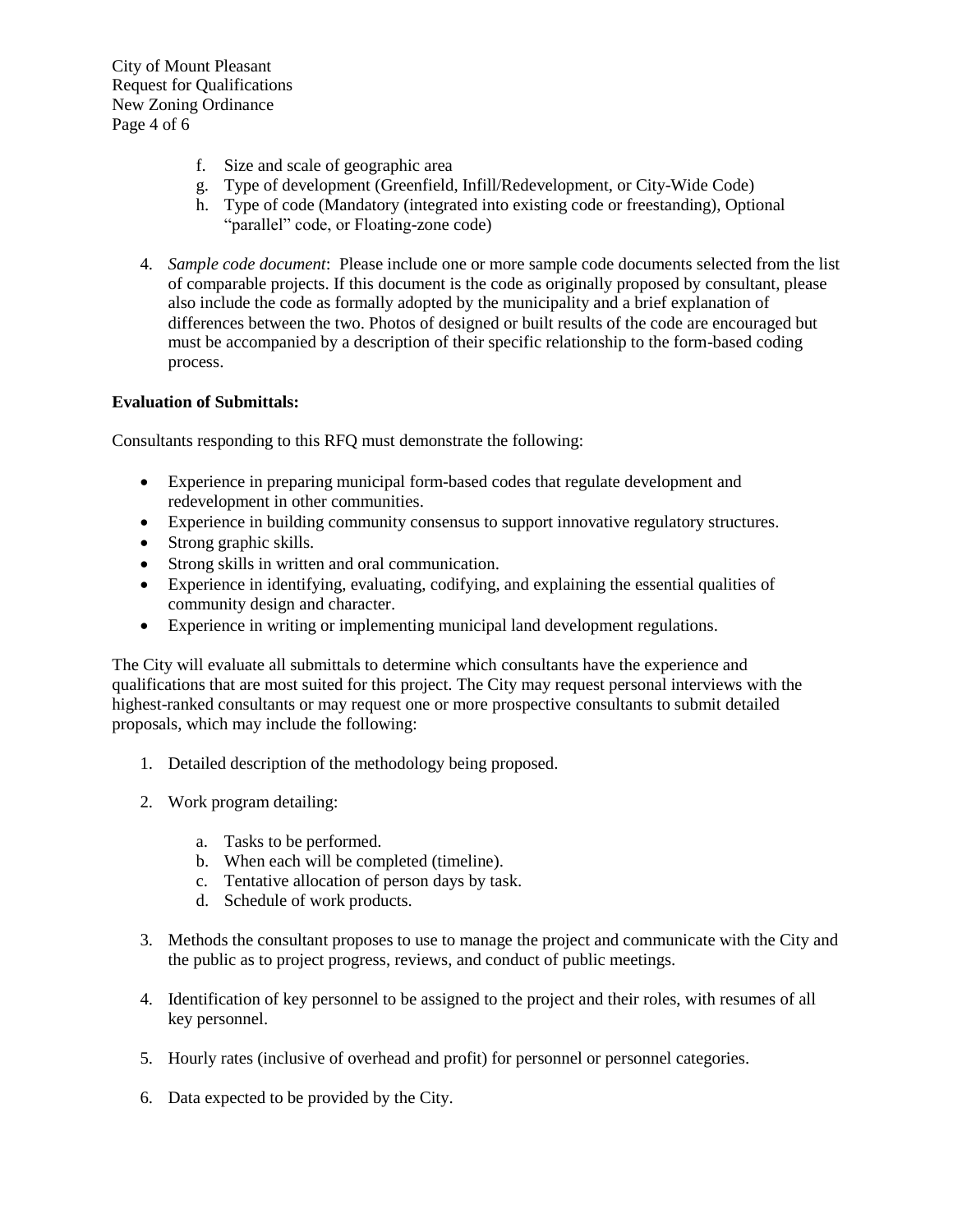City of Mount Pleasant Request for Qualifications New Zoning Ordinance Page 4 of 6

- f. Size and scale of geographic area
- g. Type of development (Greenfield, Infill/Redevelopment, or City-Wide Code)
- h. Type of code (Mandatory (integrated into existing code or freestanding), Optional "parallel" code, or Floating-zone code)
- 4. *Sample code document*: Please include one or more sample code documents selected from the list of comparable projects. If this document is the code as originally proposed by consultant, please also include the code as formally adopted by the municipality and a brief explanation of differences between the two. Photos of designed or built results of the code are encouraged but must be accompanied by a description of their specific relationship to the form-based coding process.

# **Evaluation of Submittals:**

Consultants responding to this RFQ must demonstrate the following:

- Experience in preparing municipal form-based codes that regulate development and redevelopment in other communities.
- Experience in building community consensus to support innovative regulatory structures.
- Strong graphic skills.
- Strong skills in written and oral communication.
- Experience in identifying, evaluating, codifying, and explaining the essential qualities of community design and character.
- Experience in writing or implementing municipal land development regulations.

The City will evaluate all submittals to determine which consultants have the experience and qualifications that are most suited for this project. The City may request personal interviews with the highest-ranked consultants or may request one or more prospective consultants to submit detailed proposals, which may include the following:

- 1. Detailed description of the methodology being proposed.
- 2. Work program detailing:
	- a. Tasks to be performed.
	- b. When each will be completed (timeline).
	- c. Tentative allocation of person days by task.
	- d. Schedule of work products.
- 3. Methods the consultant proposes to use to manage the project and communicate with the City and the public as to project progress, reviews, and conduct of public meetings.
- 4. Identification of key personnel to be assigned to the project and their roles, with resumes of all key personnel.
- 5. Hourly rates (inclusive of overhead and profit) for personnel or personnel categories.
- 6. Data expected to be provided by the City.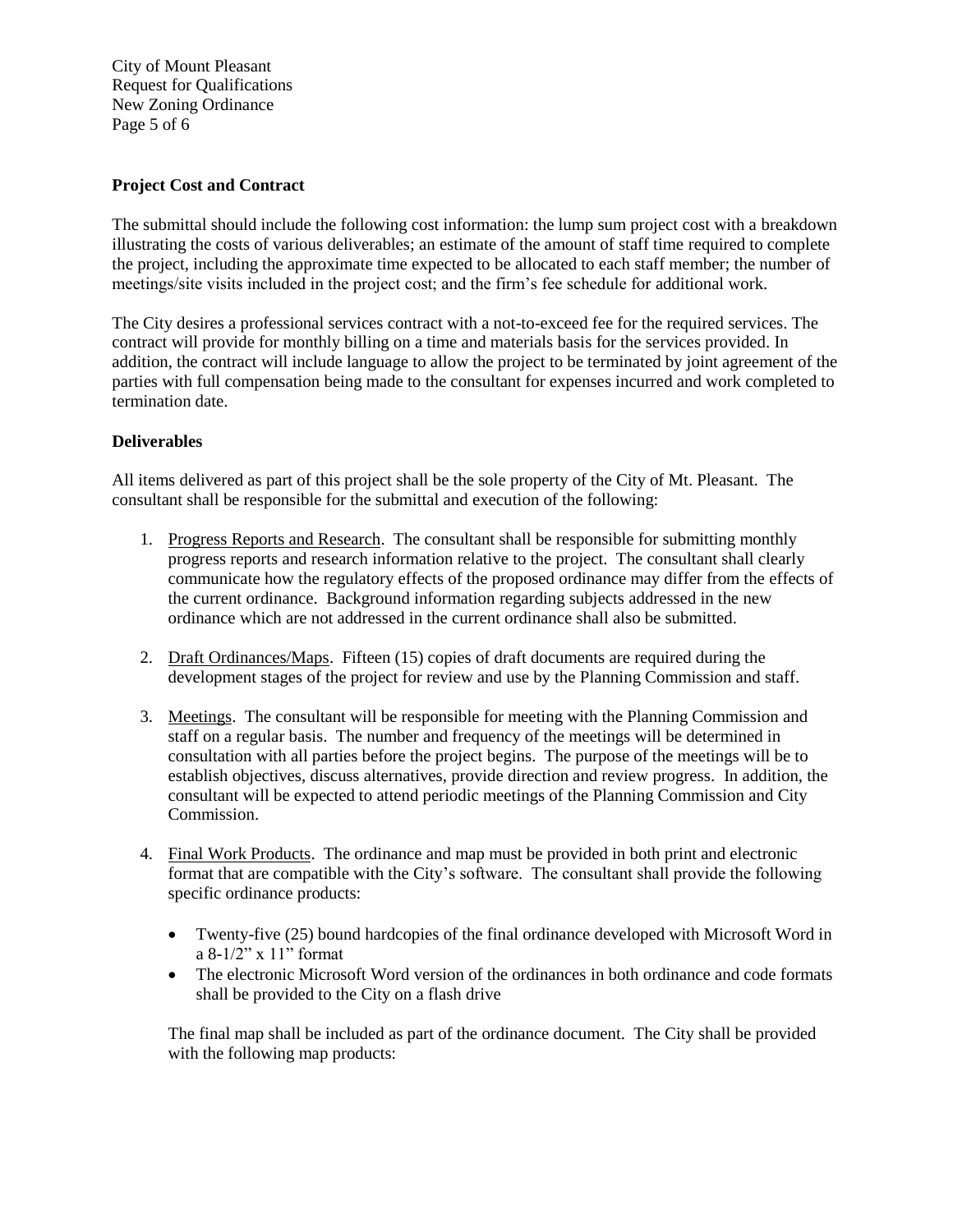City of Mount Pleasant Request for Qualifications New Zoning Ordinance Page 5 of 6

# **Project Cost and Contract**

The submittal should include the following cost information: the lump sum project cost with a breakdown illustrating the costs of various deliverables; an estimate of the amount of staff time required to complete the project, including the approximate time expected to be allocated to each staff member; the number of meetings/site visits included in the project cost; and the firm's fee schedule for additional work.

The City desires a professional services contract with a not-to-exceed fee for the required services. The contract will provide for monthly billing on a time and materials basis for the services provided. In addition, the contract will include language to allow the project to be terminated by joint agreement of the parties with full compensation being made to the consultant for expenses incurred and work completed to termination date.

# **Deliverables**

All items delivered as part of this project shall be the sole property of the City of Mt. Pleasant. The consultant shall be responsible for the submittal and execution of the following:

- 1. Progress Reports and Research. The consultant shall be responsible for submitting monthly progress reports and research information relative to the project. The consultant shall clearly communicate how the regulatory effects of the proposed ordinance may differ from the effects of the current ordinance. Background information regarding subjects addressed in the new ordinance which are not addressed in the current ordinance shall also be submitted.
- 2. Draft Ordinances/Maps. Fifteen (15) copies of draft documents are required during the development stages of the project for review and use by the Planning Commission and staff.
- 3. Meetings. The consultant will be responsible for meeting with the Planning Commission and staff on a regular basis. The number and frequency of the meetings will be determined in consultation with all parties before the project begins. The purpose of the meetings will be to establish objectives, discuss alternatives, provide direction and review progress. In addition, the consultant will be expected to attend periodic meetings of the Planning Commission and City Commission.
- 4. Final Work Products. The ordinance and map must be provided in both print and electronic format that are compatible with the City's software. The consultant shall provide the following specific ordinance products:
	- Twenty-five (25) bound hardcopies of the final ordinance developed with Microsoft Word in a 8-1/2" x 11" format
	- The electronic Microsoft Word version of the ordinances in both ordinance and code formats shall be provided to the City on a flash drive

The final map shall be included as part of the ordinance document. The City shall be provided with the following map products: